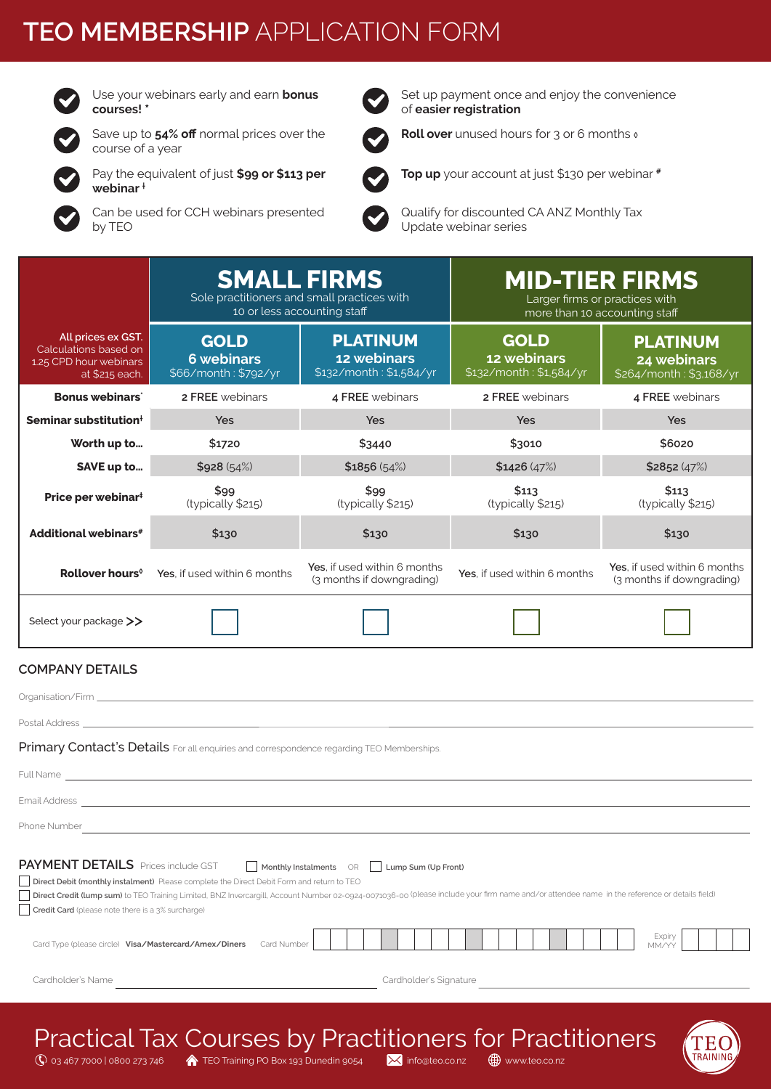# **TEO MEMBERSHIP** APPLICATION FORM



Use your webinars early and earn **bonus courses! \***

Save up to **54% off** normal prices over the course of a year

Pay the equivalent of just **\$99 or \$113 per webinar †**

Can be used for CCH webinars presented by TEO

Set up payment once and enjoy the convenience of **easier registration**



**Top up** your account at just \$130 per webinar **#**

**Roll over** unused hours for 3 or 6 months **◊**

Qualify for discounted CA ANZ Monthly Tax Update webinar series

|                                                                                                | <b>SMALL FIRMS</b><br>Sole practitioners and small practices with<br>10 or less accounting staff                                                                                                                                                                                          |                                                           | <b>MID-TIER FIRMS</b><br>Larger firms or practices with<br>more than 10 accounting staff |                                                           |  |  |  |  |
|------------------------------------------------------------------------------------------------|-------------------------------------------------------------------------------------------------------------------------------------------------------------------------------------------------------------------------------------------------------------------------------------------|-----------------------------------------------------------|------------------------------------------------------------------------------------------|-----------------------------------------------------------|--|--|--|--|
| All prices ex GST.<br>Calculations based on<br>1.25 CPD hour webinars<br>at \$215 each.        | <b>GOLD</b><br><b>6 webinars</b><br>\$66/month: \$792/yr                                                                                                                                                                                                                                  | <b>PLATINUM</b><br>12 webinars<br>\$132/month: \$1,584/yr | <b>GOLD</b><br>12 webinars<br>\$132/month: \$1,584/yr                                    | <b>PLATINUM</b><br>24 webinars<br>\$264/month: \$3,168/yr |  |  |  |  |
| <b>Bonus webinars</b>                                                                          | 2 FREE webinars                                                                                                                                                                                                                                                                           | 4 FREE webinars                                           | 2 FREE webinars                                                                          | 4 FREE webinars                                           |  |  |  |  |
| Seminar substitution <sup>+</sup>                                                              | <b>Yes</b>                                                                                                                                                                                                                                                                                | Yes                                                       | Yes                                                                                      | Yes                                                       |  |  |  |  |
| Worth up to                                                                                    | \$1720                                                                                                                                                                                                                                                                                    | \$3440                                                    | \$3010                                                                                   | \$6020                                                    |  |  |  |  |
| SAVE up to                                                                                     | \$928(54%)                                                                                                                                                                                                                                                                                | \$1856(54%)                                               | \$1426(47%)                                                                              | \$2852(47%)                                               |  |  |  |  |
| Price per webinar <sup>#</sup>                                                                 | \$99<br>(typically \$215)                                                                                                                                                                                                                                                                 | \$99<br>(typically \$215)                                 | \$113<br>(typically \$215)                                                               | \$113<br>(typically \$215)                                |  |  |  |  |
| Additional webinars <sup>#</sup>                                                               | \$130                                                                                                                                                                                                                                                                                     | \$130                                                     | \$130                                                                                    | \$130                                                     |  |  |  |  |
| Rollover hours <sup>®</sup>                                                                    | Yes, if used within 6 months                                                                                                                                                                                                                                                              | Yes. if used within 6 months<br>(3 months if downgrading) | Yes, if used within 6 months                                                             | Yes, if used within 6 months<br>(3 months if downgrading) |  |  |  |  |
| Select your package >>                                                                         |                                                                                                                                                                                                                                                                                           |                                                           |                                                                                          |                                                           |  |  |  |  |
| <b>COMPANY DETAILS</b>                                                                         |                                                                                                                                                                                                                                                                                           |                                                           |                                                                                          |                                                           |  |  |  |  |
|                                                                                                |                                                                                                                                                                                                                                                                                           |                                                           |                                                                                          |                                                           |  |  |  |  |
|                                                                                                |                                                                                                                                                                                                                                                                                           |                                                           |                                                                                          |                                                           |  |  |  |  |
|                                                                                                | Primary Contact's Details For all enquiries and correspondence regarding TEO Memberships.                                                                                                                                                                                                 |                                                           |                                                                                          |                                                           |  |  |  |  |
|                                                                                                |                                                                                                                                                                                                                                                                                           |                                                           |                                                                                          |                                                           |  |  |  |  |
|                                                                                                | Email Address and the contract of the contract of the contract of the contract of the contract of the contract of the contract of the contract of the contract of the contract of the contract of the contract of the contract                                                            |                                                           |                                                                                          |                                                           |  |  |  |  |
| Phone Number                                                                                   |                                                                                                                                                                                                                                                                                           |                                                           |                                                                                          |                                                           |  |  |  |  |
| <b>PAYMENT DETAILS</b> Prices include GST<br>Credit Card (please note there is a 3% surcharge) | Direct Debit (monthly instalment) Please complete the Direct Debit Form and return to TEO<br>Direct Credit (lump sum) to TEO Training Limited, BNZ Invercargill, Account Number 02-0924-0071036-00 (please include your firm name and/or attendee name in the reference or details field) | Monthly Instalments<br>Lump Sum (Up Front)<br>OR          |                                                                                          |                                                           |  |  |  |  |
| Card Type (please circle) Visa/Mastercard/Amex/Diners                                          | Card Number                                                                                                                                                                                                                                                                               |                                                           |                                                                                          | Expiry<br>MM/YY                                           |  |  |  |  |

Cardholder's Name Cardholder's Name Cardholder's Name Cardholder's Signature

 $\overline{Q}$  03 467 7000 | 0800 273 746 A TEO Training PO Box 193 Dunedin 9054 M info@teo.co.nz  $\overline{Q}$  www.teo.co.nz Practical Tax Courses by Practitioners for Practitioners

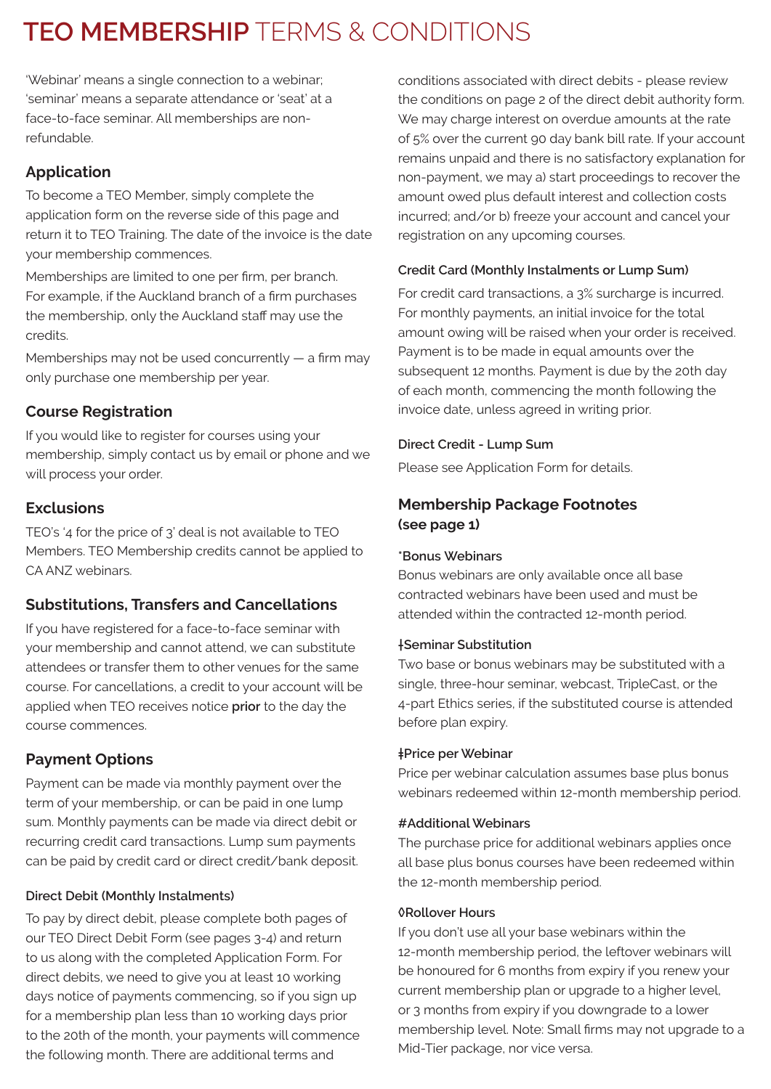# **TEO MEMBERSHIP** TERMS & CONDITIONS

'Webinar' means a single connection to a webinar; 'seminar' means a separate attendance or 'seat' at a face-to-face seminar. All memberships are nonrefundable.

# **Application**

To become a TEO Member, simply complete the application form on the reverse side of this page and return it to TEO Training. The date of the invoice is the date your membership commences.

Memberships are limited to one per firm, per branch. For example, if the Auckland branch of a firm purchases the membership, only the Auckland staff may use the credits.

Memberships may not be used concurrently — a firm may only purchase one membership per year.

# **Course Registration**

If you would like to register for courses using your membership, simply contact us by email or phone and we will process your order.

# **Exclusions**

TEO's '4 for the price of 3' deal is not available to TEO Members. TEO Membership credits cannot be applied to CA ANZ webinars.

# **Substitutions, Transfers and Cancellations**

If you have registered for a face-to-face seminar with your membership and cannot attend, we can substitute attendees or transfer them to other venues for the same course. For cancellations, a credit to your account will be applied when TEO receives notice **prior** to the day the course commences.

# **Payment Options**

Payment can be made via monthly payment over the term of your membership, or can be paid in one lump sum. Monthly payments can be made via direct debit or recurring credit card transactions. Lump sum payments can be paid by credit card or direct credit/bank deposit.

## **Direct Debit (Monthly Instalments)**

To pay by direct debit, please complete both pages of our TEO Direct Debit Form (see pages 3-4) and return to us along with the completed Application Form. For direct debits, we need to give you at least 10 working days notice of payments commencing, so if you sign up for a membership plan less than 10 working days prior to the 20th of the month, your payments will commence the following month. There are additional terms and

conditions associated with direct debits - please review the conditions on page 2 of the direct debit authority form. We may charge interest on overdue amounts at the rate of 5% over the current 90 day bank bill rate. If your account remains unpaid and there is no satisfactory explanation for non-payment, we may a) start proceedings to recover the amount owed plus default interest and collection costs incurred; and/or b) freeze your account and cancel your registration on any upcoming courses.

## **Credit Card (Monthly Instalments or Lump Sum)**

For credit card transactions, a 3% surcharge is incurred. For monthly payments, an initial invoice for the total amount owing will be raised when your order is received. Payment is to be made in equal amounts over the subsequent 12 months. Payment is due by the 20th day of each month, commencing the month following the invoice date, unless agreed in writing prior.

## **Direct Credit - Lump Sum**

Please see Application Form for details.

## **Membership Package Footnotes (see page 1)**

## **\*Bonus Webinars**

Bonus webinars are only available once all base contracted webinars have been used and must be attended within the contracted 12-month period.

## **†Seminar Substitution**

Two base or bonus webinars may be substituted with a single, three-hour seminar, webcast, TripleCast, or the 4-part Ethics series, if the substituted course is attended before plan expiry.

### **‡Price per Webinar**

Price per webinar calculation assumes base plus bonus webinars redeemed within 12-month membership period.

### **#Additional Webinars**

The purchase price for additional webinars applies once all base plus bonus courses have been redeemed within the 12-month membership period.

### **◊Rollover Hours**

If you don't use all your base webinars within the 12-month membership period, the leftover webinars will be honoured for 6 months from expiry if you renew your current membership plan or upgrade to a higher level, or 3 months from expiry if you downgrade to a lower membership level. Note: Small firms may not upgrade to a Mid-Tier package, nor vice versa.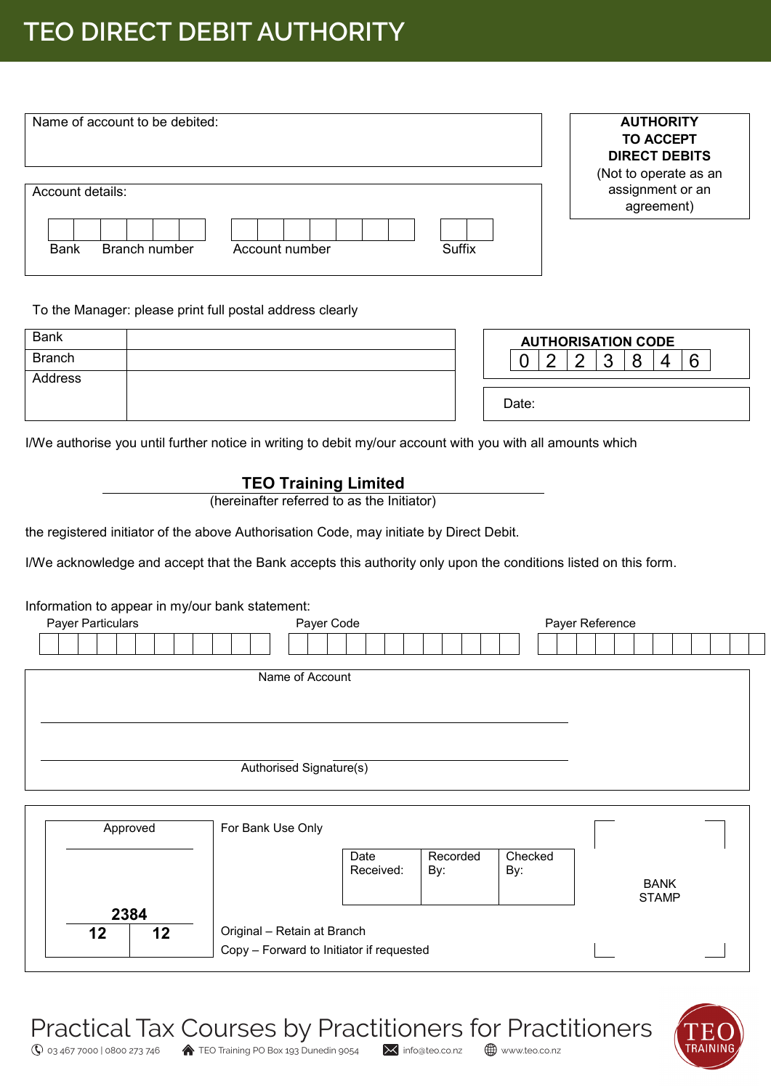# **TEO DIRECT DEBIT AUTHORITY**

| Name of account to be debited:                           | <b>AUTHORITY</b><br><b>TO ACCEPT</b><br><b>DIRECT DEBITS</b><br>(Not to operate as an |
|----------------------------------------------------------|---------------------------------------------------------------------------------------|
| Account details:                                         | assignment or an<br>agreement)                                                        |
| Suffix<br><b>Bank</b><br>Branch number<br>Account number |                                                                                       |

#### To the Manager: please print full postal address clearly

| <b>Bank</b>   |  | <b>AUTHORISATION CODE</b> |  |  |   |   |        |        |  |
|---------------|--|---------------------------|--|--|---|---|--------|--------|--|
| <b>Branch</b> |  |                           |  |  | c | c | o<br>U | Q<br>ີ |  |
| Address       |  |                           |  |  |   |   |        |        |  |
|               |  | Date:                     |  |  |   |   |        |        |  |

I/We authorise you until further notice in writing to debit my/our account with you with all amounts which

## **TEO Training Limited**

(hereinafter referred to as the Initiator)

the registered initiator of the above Authorisation Code, may initiate by Direct Debit.

I/We acknowledge and accept that the Bank accepts this authority only upon the conditions listed on this form.

#### Information to appear in my/our bank statement:

| Payer Particulars | Payer Code              | Payer Reference |
|-------------------|-------------------------|-----------------|
|                   |                         |                 |
|                   |                         |                 |
|                   | Name of Account         |                 |
|                   |                         |                 |
|                   |                         |                 |
|                   |                         |                 |
|                   | Authorised Signature(s) |                 |
|                   |                         |                 |
|                   |                         |                 |

| Approved         | For Bank Use Only                                                       |                             |
|------------------|-------------------------------------------------------------------------|-----------------------------|
|                  | Checked<br>Recorded<br>Date<br>Received:<br>By:<br>By:                  | <b>BANK</b><br><b>STAMP</b> |
| 2384<br>12<br>12 | Original - Retain at Branch<br>Copy - Forward to Initiator if requested |                             |

Practical Tax Courses by Practitioners for Practitioners



 $\overline{\mathbb{Q}}$  03 467 7000 | 0800 273 746 <br>TEO Training PO Box 193 Dunedin 9054  $\times$  info@teo.co.nz  $\oplus$  www.teo.co.nz